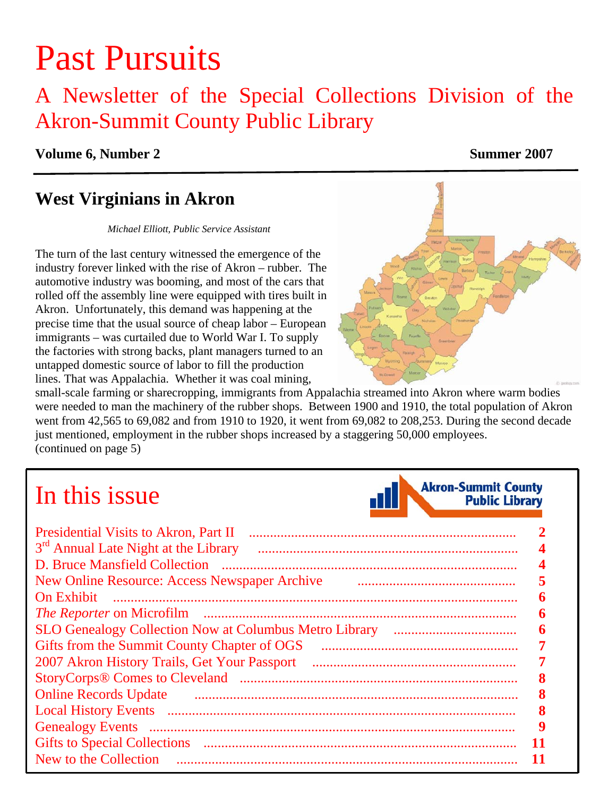# Past Pursuits

# A Newsletter of the Special Collections Division of the Akron-Summit County Public Library

### **Volume 6, Number 2** Summer 2007

# **West Virginians in Akron**

#### *Michael Elliott, Public Service Assistant*

The turn of the last century witnessed the emergence of the industry forever linked with the rise of Akron – rubber. The automotive industry was booming, and most of the cars that rolled off the assembly line were equipped with tires built in Akron. Unfortunately, this demand was happening at the precise time that the usual source of cheap labor – European immigrants – was curtailed due to World War I. To supply the factories with strong backs, plant managers turned to an untapped domestic source of labor to fill the production lines. That was Appalachia. Whether it was coal mining,



small-scale farming or sharecropping, immigrants from Appalachia streamed into Akron where warm bodies were needed to man the machinery of the rubber shops. Between 1900 and 1910, the total population of Akron went from 42,565 to 69,082 and from 1910 to 1920, it went from 69,082 to 208,253. During the second decade just mentioned, employment in the rubber shops increased by a staggering 50,000 employees. [\(continued on page 5\)](#page-4-0) 

# In this issue



| <b>Presidential Visits to Akron, Part II</b>     |  |
|--------------------------------------------------|--|
| 3 <sup>rd</sup> Annual Late Night at the Library |  |
| D. Bruce Mansfield Collection                    |  |
| New Online Resource: Access Newspaper Archive    |  |
| <b>On Exhibit</b>                                |  |
| <i>The Reporter</i> on Microfilm                 |  |
|                                                  |  |
| Gifts from the Summit County Chapter of OGS      |  |
|                                                  |  |
|                                                  |  |
| <b>Online Records Update</b>                     |  |
|                                                  |  |
| <b>Genealogy Events</b>                          |  |
| <b>Gifts to Special Collections</b>              |  |
| New to the Collection                            |  |
|                                                  |  |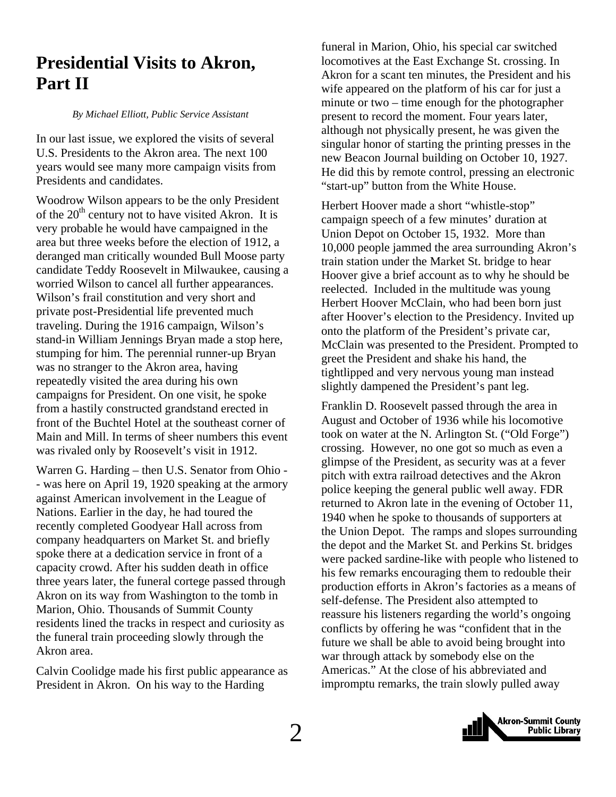# <span id="page-1-0"></span>**Presidential Visits to Akron, Part II**

#### *By Michael Elliott, Public Service Assistant*

In our last issue, we explored the visits of several U.S. Presidents to the Akron area. The next 100 years would see many more campaign visits from Presidents and candidates.

Woodrow Wilson appears to be the only President of the  $20<sup>th</sup>$  century not to have visited Akron. It is very probable he would have campaigned in the area but three weeks before the election of 1912, a deranged man critically wounded Bull Moose party candidate Teddy Roosevelt in Milwaukee, causing a worried Wilson to cancel all further appearances. Wilson's frail constitution and very short and private post-Presidential life prevented much traveling. During the 1916 campaign, Wilson's stand-in William Jennings Bryan made a stop here, stumping for him. The perennial runner-up Bryan was no stranger to the Akron area, having repeatedly visited the area during his own campaigns for President. On one visit, he spoke from a hastily constructed grandstand erected in front of the Buchtel Hotel at the southeast corner of Main and Mill. In terms of sheer numbers this event was rivaled only by Roosevelt's visit in 1912.

Warren G. Harding – then U.S. Senator from Ohio - - was here on April 19, 1920 speaking at the armory against American involvement in the League of Nations. Earlier in the day, he had toured the recently completed Goodyear Hall across from company headquarters on Market St. and briefly spoke there at a dedication service in front of a capacity crowd. After his sudden death in office three years later, the funeral cortege passed through Akron on its way from Washington to the tomb in Marion, Ohio. Thousands of Summit County residents lined the tracks in respect and curiosity as the funeral train proceeding slowly through the Akron area.

Calvin Coolidge made his first public appearance as President in Akron. On his way to the Harding

funeral in Marion, Ohio, his special car switched locomotives at the East Exchange St. crossing. In Akron for a scant ten minutes, the President and his wife appeared on the platform of his car for just a minute or two – time enough for the photographer present to record the moment. Four years later, although not physically present, he was given the singular honor of starting the printing presses in the new Beacon Journal building on October 10, 1927. He did this by remote control, pressing an electronic "start-up" button from the White House.

Herbert Hoover made a short "whistle-stop" campaign speech of a few minutes' duration at Union Depot on October 15, 1932. More than 10,000 people jammed the area surrounding Akron's train station under the Market St. bridge to hear Hoover give a brief account as to why he should be reelected. Included in the multitude was young Herbert Hoover McClain, who had been born just after Hoover's election to the Presidency. Invited up onto the platform of the President's private car, McClain was presented to the President. Prompted to greet the President and shake his hand, the tightlipped and very nervous young man instead slightly dampened the President's pant leg.

Franklin D. Roosevelt passed through the area in August and October of 1936 while his locomotive took on water at the N. Arlington St. ("Old Forge") crossing. However, no one got so much as even a glimpse of the President, as security was at a fever pitch with extra railroad detectives and the Akron police keeping the general public well away. FDR returned to Akron late in the evening of October 11, 1940 when he spoke to thousands of supporters at the Union Depot. The ramps and slopes surrounding the depot and the Market St. and Perkins St. bridges were packed sardine-like with people who listened to his few remarks encouraging them to redouble their production efforts in Akron's factories as a means of self-defense. The President also attempted to reassure his listeners regarding the world's ongoing conflicts by offering he was "confident that in the future we shall be able to avoid being brought into war through attack by somebody else on the Americas." At the close of his abbreviated and impromptu remarks, the train slowly pulled away

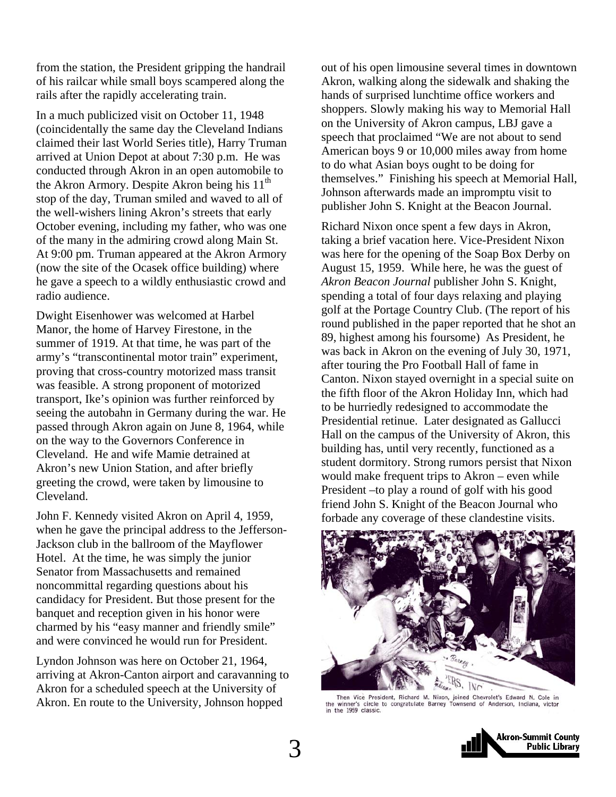from the station, the President gripping the handrail of his railcar while small boys scampered along the rails after the rapidly accelerating train.

In a much publicized visit on October 11, 1948 (coincidentally the same day the Cleveland Indians claimed their last World Series title), Harry Truman arrived at Union Depot at about 7:30 p.m. He was conducted through Akron in an open automobile to the Akron Armory. Despite Akron being his  $11<sup>th</sup>$ stop of the day, Truman smiled and waved to all of the well-wishers lining Akron's streets that early October evening, including my father, who was one of the many in the admiring crowd along Main St. At 9:00 pm. Truman appeared at the Akron Armory (now the site of the Ocasek office building) where he gave a speech to a wildly enthusiastic crowd and radio audience.

Dwight Eisenhower was welcomed at Harbel Manor, the home of Harvey Firestone, in the summer of 1919. At that time, he was part of the army's "transcontinental motor train" experiment, proving that cross-country motorized mass transit was feasible. A strong proponent of motorized transport, Ike's opinion was further reinforced by seeing the autobahn in Germany during the war. He passed through Akron again on June 8, 1964, while on the way to the Governors Conference in Cleveland. He and wife Mamie detrained at Akron's new Union Station, and after briefly greeting the crowd, were taken by limousine to Cleveland.

John F. Kennedy visited Akron on April 4, 1959, when he gave the principal address to the Jefferson-Jackson club in the ballroom of the Mayflower Hotel. At the time, he was simply the junior Senator from Massachusetts and remained noncommittal regarding questions about his candidacy for President. But those present for the banquet and reception given in his honor were charmed by his "easy manner and friendly smile" and were convinced he would run for President.

Lyndon Johnson was here on October 21, 1964, arriving at Akron-Canton airport and caravanning to Akron for a scheduled speech at the University of Akron. En route to the University, Johnson hopped

out of his open limousine several times in downtown Akron, walking along the sidewalk and shaking the hands of surprised lunchtime office workers and shoppers. Slowly making his way to Memorial Hall on the University of Akron campus, LBJ gave a speech that proclaimed "We are not about to send American boys 9 or 10,000 miles away from home to do what Asian boys ought to be doing for themselves." Finishing his speech at Memorial Hall, Johnson afterwards made an impromptu visit to publisher John S. Knight at the Beacon Journal.

Richard Nixon once spent a few days in Akron, taking a brief vacation here. Vice-President Nixon was here for the opening of the Soap Box Derby on August 15, 1959. While here, he was the guest of *Akron Beacon Journal* publisher John S. Knight, spending a total of four days relaxing and playing golf at the Portage Country Club. (The report of his round published in the paper reported that he shot an 89, highest among his foursome) As President, he was back in Akron on the evening of July 30, 1971, after touring the Pro Football Hall of fame in Canton. Nixon stayed overnight in a special suite on the fifth floor of the Akron Holiday Inn, which had to be hurriedly redesigned to accommodate the Presidential retinue. Later designated as Gallucci Hall on the campus of the University of Akron, this building has, until very recently, functioned as a student dormitory. Strong rumors persist that Nixon would make frequent trips to Akron – even while President –to play a round of golf with his good friend John S. Knight of the Beacon Journal who forbade any coverage of these clandestine visits.



Then Vice President, Richard M. Nixon, joined Chevrolet's Edward N. Cole in the winner's circle to congratulate Barney Townsend of Anderson, Indiana, victor in the 1959 classic.

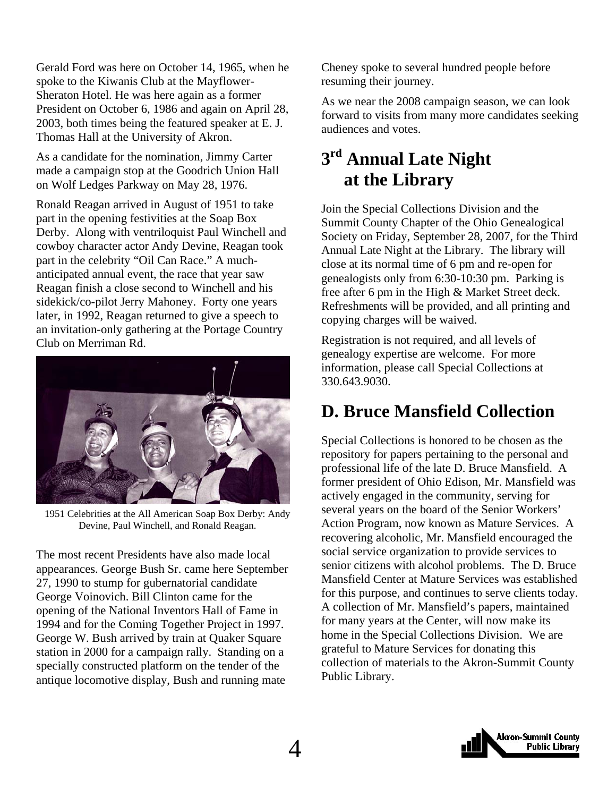<span id="page-3-0"></span>Gerald Ford was here on October 14, 1965, when he spoke to the Kiwanis Club at the Mayflower-Sheraton Hotel. He was here again as a former President on October 6, 1986 and again on April 28, 2003, both times being the featured speaker at E. J. Thomas Hall at the University of Akron.

As a candidate for the nomination, Jimmy Carter made a campaign stop at the Goodrich Union Hall on Wolf Ledges Parkway on May 28, 1976.

Ronald Reagan arrived in August of 1951 to take part in the opening festivities at the Soap Box Derby. Along with ventriloquist Paul Winchell and cowboy character actor Andy Devine, Reagan took part in the celebrity "Oil Can Race." A muchanticipated annual event, the race that year saw Reagan finish a close second to Winchell and his sidekick/co-pilot Jerry Mahoney. Forty one years later, in 1992, Reagan returned to give a speech to an invitation-only gathering at the Portage Country Club on Merriman Rd.



1951 Celebrities at the All American Soap Box Derby: Andy Devine, Paul Winchell, and Ronald Reagan.

The most recent Presidents have also made local appearances. George Bush Sr. came here September 27, 1990 to stump for gubernatorial candidate George Voinovich. Bill Clinton came for the opening of the National Inventors Hall of Fame in 1994 and for the Coming Together Project in 1997. George W. Bush arrived by train at Quaker Square station in 2000 for a campaign rally. Standing on a specially constructed platform on the tender of the antique locomotive display, Bush and running mate

Cheney spoke to several hundred people before resuming their journey.

As we near the 2008 campaign season, we can look forward to visits from many more candidates seeking audiences and votes.

# **3rd Annual Late Night at the Library**

Join the Special Collections Division and the Summit County Chapter of the Ohio Genealogical Society on Friday, September 28, 2007, for the Third Annual Late Night at the Library. The library will close at its normal time of 6 pm and re-open for genealogists only from 6:30-10:30 pm. Parking is free after 6 pm in the High & Market Street deck. Refreshments will be provided, and all printing and copying charges will be waived.

Registration is not required, and all levels of genealogy expertise are welcome. For more information, please call Special Collections at 330.643.9030.

# **D. Bruce Mansfield Collection**

Special Collections is honored to be chosen as the repository for papers pertaining to the personal and professional life of the late D. Bruce Mansfield. A former president of Ohio Edison, Mr. Mansfield was actively engaged in the community, serving for several years on the board of the Senior Workers' Action Program, now known as Mature Services. A recovering alcoholic, Mr. Mansfield encouraged the social service organization to provide services to senior citizens with alcohol problems. The D. Bruce Mansfield Center at Mature Services was established for this purpose, and continues to serve clients today. A collection of Mr. Mansfield's papers, maintained for many years at the Center, will now make its home in the Special Collections Division. We are grateful to Mature Services for donating this collection of materials to the Akron-Summit County Public Library.

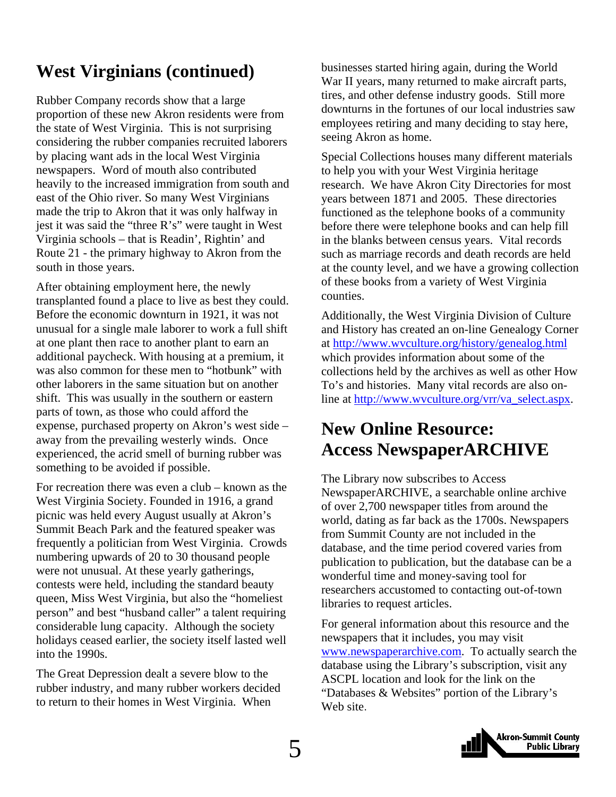# <span id="page-4-0"></span>**West Virginians (continued)**

Rubber Company records show that a large proportion of these new Akron residents were from the state of West Virginia. This is not surprising considering the rubber companies recruited laborers by placing want ads in the local West Virginia newspapers. Word of mouth also contributed heavily to the increased immigration from south and east of the Ohio river. So many West Virginians made the trip to Akron that it was only halfway in jest it was said the "three R's" were taught in West Virginia schools – that is Readin', Rightin' and Route 21 - the primary highway to Akron from the south in those years.

After obtaining employment here, the newly transplanted found a place to live as best they could. Before the economic downturn in 1921, it was not unusual for a single male laborer to work a full shift at one plant then race to another plant to earn an additional paycheck. With housing at a premium, it was also common for these men to "hotbunk" with other laborers in the same situation but on another shift. This was usually in the southern or eastern parts of town, as those who could afford the expense, purchased property on Akron's west side – away from the prevailing westerly winds. Once experienced, the acrid smell of burning rubber was something to be avoided if possible.

For recreation there was even a club – known as the West Virginia Society. Founded in 1916, a grand picnic was held every August usually at Akron's Summit Beach Park and the featured speaker was frequently a politician from West Virginia. Crowds numbering upwards of 20 to 30 thousand people were not unusual. At these yearly gatherings, contests were held, including the standard beauty queen, Miss West Virginia, but also the "homeliest person" and best "husband caller" a talent requiring considerable lung capacity. Although the society holidays ceased earlier, the society itself lasted well into the 1990s.

The Great Depression dealt a severe blow to the rubber industry, and many rubber workers decided to return to their homes in West Virginia. When

businesses started hiring again, during the World War II years, many returned to make aircraft parts, tires, and other defense industry goods. Still more downturns in the fortunes of our local industries saw employees retiring and many deciding to stay here, seeing Akron as home.

Special Collections houses many different materials to help you with your West Virginia heritage research. We have Akron City Directories for most years between 1871 and 2005. These directories functioned as the telephone books of a community before there were telephone books and can help fill in the blanks between census years. Vital records such as marriage records and death records are held at the county level, and we have a growing collection of these books from a variety of West Virginia counties.

Additionally, the West Virginia Division of Culture and History has created an on-line Genealogy Corner at<http://www.wvculture.org/history/genealog.html> which provides information about some of the collections held by the archives as well as other How To's and histories. Many vital records are also online at [http://www.wvculture.org/vrr/va\\_select.aspx](http://www.wvculture.org/vrr/va_select.aspx).

# **New Online Resource: Access NewspaperARCHIVE**

The Library now subscribes to Access NewspaperARCHIVE, a searchable online archive of over 2,700 newspaper titles from around the world, dating as far back as the 1700s. Newspapers from Summit County are not included in the database, and the time period covered varies from publication to publication, but the database can be a wonderful time and money-saving tool for researchers accustomed to contacting out-of-town libraries to request articles.

For general information about this resource and the newspapers that it includes, you may visit [www.newspaperarchive.com.](http://www.newspaperarchive.com/) To actually search the database using the Library's subscription, visit any ASCPL location and look for the link on the "Databases & Websites" portion of the Library's Web site.

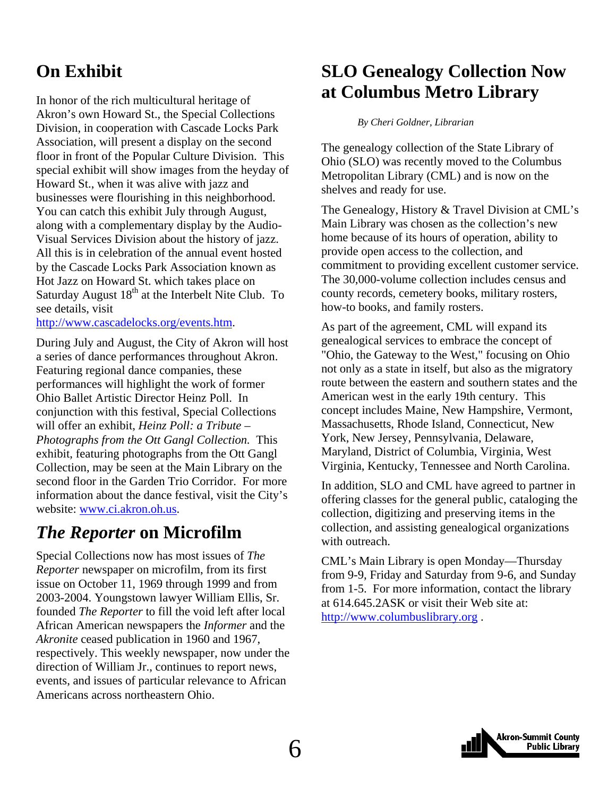# <span id="page-5-0"></span>**On Exhibit**

In honor of the rich multicultural heritage of Akron's own Howard St., the Special Collections Division, in cooperation with Cascade Locks Park Association, will present a display on the second floor in front of the Popular Culture Division. This special exhibit will show images from the heyday of Howard St., when it was alive with jazz and businesses were flourishing in this neighborhood. You can catch this exhibit July through August, along with a complementary display by the Audio-Visual Services Division about the history of jazz. All this is in celebration of the annual event hosted by the Cascade Locks Park Association known as Hot Jazz on Howard St. which takes place on Saturday August  $18<sup>th</sup>$  at the Interbelt Nite Club. To see details, visit

[http://www.cascadelocks.org/events.htm.](http://www.cascadelocks.org/events.htm)

During July and August, the City of Akron will host a series of dance performances throughout Akron. Featuring regional dance companies, these performances will highlight the work of former Ohio Ballet Artistic Director Heinz Poll. In conjunction with this festival, Special Collections will offer an exhibit, *Heinz Poll: a Tribute – Photographs from the Ott Gangl Collection.* This exhibit, featuring photographs from the Ott Gangl Collection, may be seen at the Main Library on the second floor in the Garden Trio Corridor. For more information about the dance festival, visit the City's website: [www.ci.akron.oh.us.](http://www.ci.akron.oh.us/)

# *The Reporter* **on Microfilm**

Special Collections now has most issues of *The Reporter* newspaper on microfilm, from its first issue on October 11, 1969 through 1999 and from 2003-2004. Youngstown lawyer William Ellis, Sr. founded *The Reporter* to fill the void left after local African American newspapers the *Informer* and the *Akronite* ceased publication in 1960 and 1967, respectively. This weekly newspaper, now under the direction of William Jr., continues to report news, events, and issues of particular relevance to African Americans across northeastern Ohio.

# **SLO Genealogy Collection Now at Columbus Metro Library**

*By Cheri Goldner, Librarian* 

The genealogy collection of the State Library of Ohio (SLO) was recently moved to the Columbus Metropolitan Library (CML) and is now on the shelves and ready for use.

The Genealogy, History & Travel Division at CML's Main Library was chosen as the collection's new home because of its hours of operation, ability to provide open access to the collection, and commitment to providing excellent customer service. The 30,000-volume collection includes census and county records, cemetery books, military rosters, how-to books, and family rosters.

As part of the agreement, CML will expand its genealogical services to embrace the concept of "Ohio, the Gateway to the West," focusing on Ohio not only as a state in itself, but also as the migratory route between the eastern and southern states and the American west in the early 19th century. This concept includes Maine, New Hampshire, Vermont, Massachusetts, Rhode Island, Connecticut, New York, New Jersey, Pennsylvania, Delaware, Maryland, District of Columbia, Virginia, West Virginia, Kentucky, Tennessee and North Carolina.

In addition, SLO and CML have agreed to partner in offering classes for the general public, cataloging the collection, digitizing and preserving items in the collection, and assisting genealogical organizations with outreach.

CML's Main Library is open Monday—Thursday from 9-9, Friday and Saturday from 9-6, and Sunday from 1-5. For more information, contact the library at 614.645.2ASK or visit their Web site at: [http://www.columbuslibrary.org](http://www.columbuslibrary.org/) .

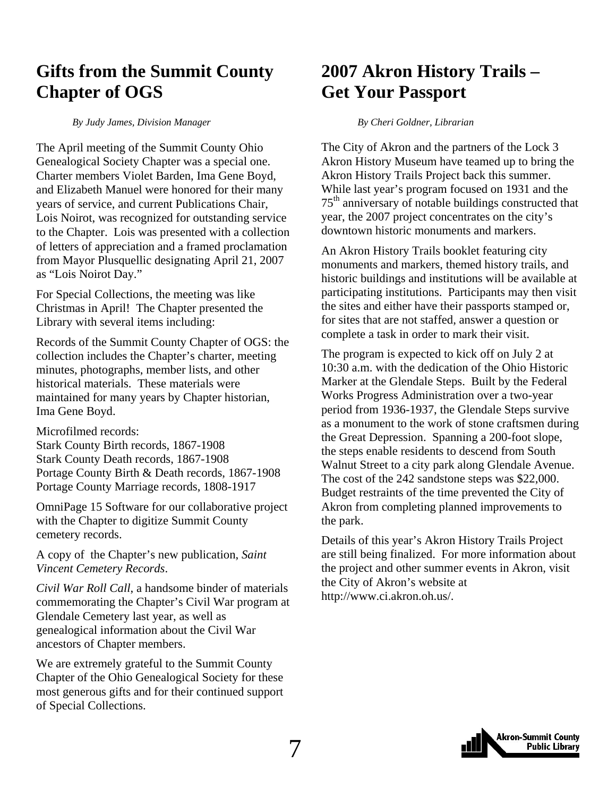# <span id="page-6-0"></span>**Gifts from the Summit County Chapter of OGS**

*By Judy James, Division Manager* 

The April meeting of the Summit County Ohio Genealogical Society Chapter was a special one. Charter members Violet Barden, Ima Gene Boyd, and Elizabeth Manuel were honored for their many years of service, and current Publications Chair, Lois Noirot, was recognized for outstanding service to the Chapter. Lois was presented with a collection of letters of appreciation and a framed proclamation from Mayor Plusquellic designating April 21, 2007 as "Lois Noirot Day."

For Special Collections, the meeting was like Christmas in April! The Chapter presented the Library with several items including:

Records of the Summit County Chapter of OGS: the collection includes the Chapter's charter, meeting minutes, photographs, member lists, and other historical materials. These materials were maintained for many years by Chapter historian, Ima Gene Boyd.

Microfilmed records:

Stark County Birth records, 1867-1908 Stark County Death records, 1867-1908 Portage County Birth & Death records, 1867-1908 Portage County Marriage records, 1808-1917

OmniPage 15 Software for our collaborative project with the Chapter to digitize Summit County cemetery records.

A copy of the Chapter's new publication, *Saint Vincent Cemetery Records*.

*Civil War Roll Call*, a handsome binder of materials commemorating the Chapter's Civil War program at Glendale Cemetery last year, as well as genealogical information about the Civil War ancestors of Chapter members.

We are extremely grateful to the Summit County Chapter of the Ohio Genealogical Society for these most generous gifts and for their continued support of Special Collections.

# **2007 Akron History Trails – Get Your Passport**

*By Cheri Goldner, Librarian* 

The City of Akron and the partners of the Lock 3 Akron History Museum have teamed up to bring the Akron History Trails Project back this summer. While last year's program focused on 1931 and the 75th anniversary of notable buildings constructed that year, the 2007 project concentrates on the city's downtown historic monuments and markers.

An Akron History Trails booklet featuring city monuments and markers, themed history trails, and historic buildings and institutions will be available at participating institutions. Participants may then visit the sites and either have their passports stamped or, for sites that are not staffed, answer a question or complete a task in order to mark their visit.

The program is expected to kick off on July 2 at 10:30 a.m. with the dedication of the Ohio Historic Marker at the Glendale Steps. Built by the Federal Works Progress Administration over a two-year period from 1936-1937, the Glendale Steps survive as a monument to the work of stone craftsmen during the Great Depression. Spanning a 200-foot slope, the steps enable residents to descend from South Walnut Street to a city park along Glendale Avenue. The cost of the 242 sandstone steps was \$22,000. Budget restraints of the time prevented the City of Akron from completing planned improvements to the park.

Details of this year's Akron History Trails Project are still being finalized. For more information about the project and other summer events in Akron, visit the City of Akron's website at http://www.ci.akron.oh.us/.

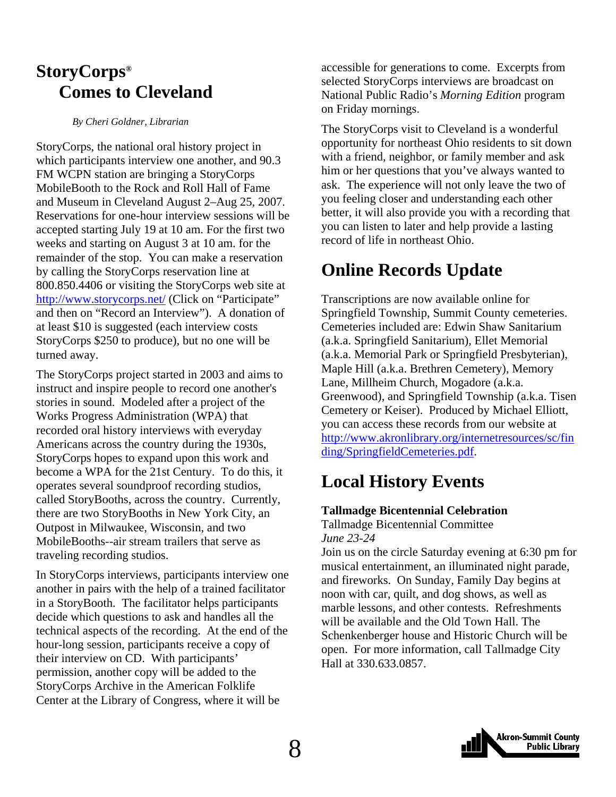# <span id="page-7-0"></span>**StoryCorps® Comes to Cleveland**

*By Cheri Goldner, Librarian* 

StoryCorps, the national oral history project in which participants interview one another, and 90.3 FM WCPN station are bringing a StoryCorps MobileBooth to the Rock and Roll Hall of Fame and Museum in Cleveland August 2–Aug 25, 2007. Reservations for one-hour interview sessions will be accepted starting July 19 at 10 am. For the first two weeks and starting on August 3 at 10 am. for the remainder of the stop. You can make a reservation by calling the StoryCorps reservation line at 800.850.4406 or visiting the StoryCorps web site at <http://www.storycorps.net/>(Click on "Participate" and then on "Record an Interview"). A donation of at least \$10 is suggested (each interview costs StoryCorps \$250 to produce), but no one will be turned away.

The StoryCorps project started in 2003 and aims to instruct and inspire people to record one another's stories in sound. Modeled after a project of the Works Progress Administration (WPA) that recorded oral history interviews with everyday Americans across the country during the 1930s, StoryCorps hopes to expand upon this work and become a WPA for the 21st Century. To do this, it operates several soundproof recording studios, called StoryBooths, across the country. Currently, there are two StoryBooths in New York City, an Outpost in Milwaukee, Wisconsin, and two MobileBooths--air stream trailers that serve as traveling recording studios.

In StoryCorps interviews, participants interview one another in pairs with the help of a trained facilitator in a StoryBooth. The facilitator helps participants decide which questions to ask and handles all the technical aspects of the recording. At the end of the hour-long session, participants receive a copy of their interview on CD. With participants' permission, another copy will be added to the StoryCorps Archive in the American Folklife Center at the Library of Congress, where it will be

accessible for generations to come. Excerpts from selected StoryCorps interviews are broadcast on National Public Radio's *Morning Edition* program on Friday mornings.

The StoryCorps visit to Cleveland is a wonderful opportunity for northeast Ohio residents to sit down with a friend, neighbor, or family member and ask him or her questions that you've always wanted to ask. The experience will not only leave the two of you feeling closer and understanding each other better, it will also provide you with a recording that you can listen to later and help provide a lasting record of life in northeast Ohio.

# **Online Records Update**

Transcriptions are now available online for Springfield Township, Summit County cemeteries. Cemeteries included are: Edwin Shaw Sanitarium (a.k.a. Springfield Sanitarium), Ellet Memorial (a.k.a. Memorial Park or Springfield Presbyterian), Maple Hill (a.k.a. Brethren Cemetery), Memory Lane, Millheim Church, Mogadore (a.k.a. Greenwood), and Springfield Township (a.k.a. Tisen Cemetery or Keiser). Produced by Michael Elliott, you can access these records from our website at [http://www.akronlibrary.org/internetresources/sc/fin](http://www.akronlibrary.org/internetresources/sc/finding/SpringfieldCemeteries.pdf) [ding/SpringfieldCemeteries.pdf](http://www.akronlibrary.org/internetresources/sc/finding/SpringfieldCemeteries.pdf).

# **Local History Events**

### **Tallmadge Bicentennial Celebration**

Tallmadge Bicentennial Committee *June 23-24* 

Join us on the circle Saturday evening at 6:30 pm for musical entertainment, an illuminated night parade, and fireworks. On Sunday, Family Day begins at noon with car, quilt, and dog shows, as well as marble lessons, and other contests. Refreshments will be available and the Old Town Hall. The Schenkenberger house and Historic Church will be open. For more information, call Tallmadge City Hall at 330.633.0857.

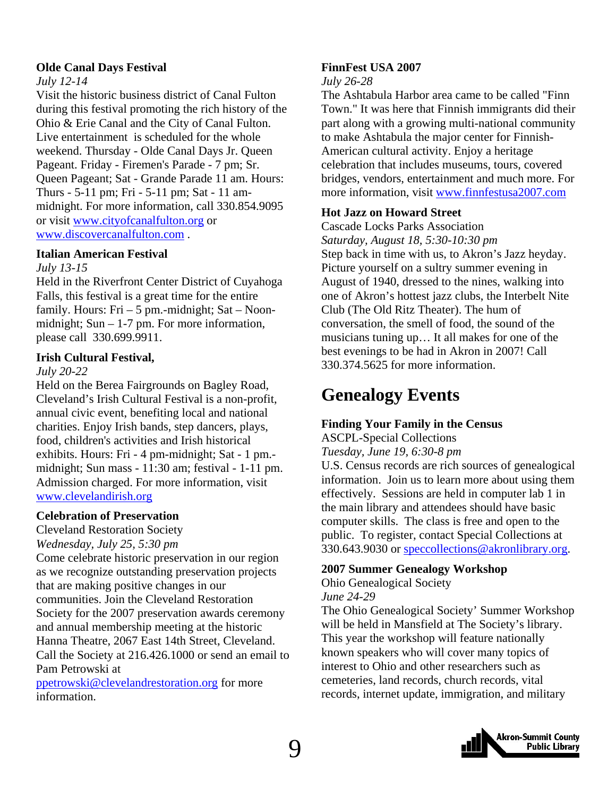#### <span id="page-8-0"></span>**Olde Canal Days Festival**

#### *July 12-14*

Visit the historic business district of Canal Fulton during this festival promoting the rich history of the Ohio & Erie Canal and the City of Canal Fulton. Live entertainment is scheduled for the whole weekend. Thursday - Olde Canal Days Jr. Queen Pageant. Friday - Firemen's Parade - 7 pm; Sr. Queen Pageant; Sat - Grande Parade 11 am. Hours: Thurs - 5-11 pm; Fri - 5-11 pm; Sat - 11 ammidnight. For more information, call 330.854.9095 or visit [www.cityofcanalfulton.org](http://www.cityofcanalfulton.org/) or [www.discovercanalfulton.com](http://www.discovercanalfulton.com/) .

#### **Italian American Festival**

#### *July 13-15*

Held in the Riverfront Center District of Cuyahoga Falls, this festival is a great time for the entire family. Hours:  $Fri - 5$  pm.-midnight;  $Sat - Noon$ midnight; Sun – 1-7 pm. For more information, please call 330.699.9911.

#### **Irish Cultural Festival,**

#### *July 20-22*

Held on the Berea Fairgrounds on Bagley Road, Cleveland's Irish Cultural Festival is a non-profit, annual civic event, benefiting local and national charities. Enjoy Irish bands, step dancers, plays, food, children's activities and Irish historical exhibits. Hours: Fri - 4 pm-midnight; Sat - 1 pm. midnight; Sun mass - 11:30 am; festival - 1-11 pm. Admission charged. For more information, visit [www.clevelandirish.org](http://www.clevelandirish.org/)

#### **Celebration of Preservation**

Cleveland Restoration Society

#### *Wednesday, July 25, 5:30 pm*

Come celebrate historic preservation in our region as we recognize outstanding preservation projects that are making positive changes in our communities. Join the Cleveland Restoration Society for the 2007 preservation awards ceremony and annual membership meeting at the historic Hanna Theatre, 2067 East 14th Street, Cleveland. Call the Society at 216.426.1000 or send an email to Pam Petrowski at

[ppetrowski@clevelandrestoration.org](mailto:ppetrowski@clevelandrestoration.org) for more information.

### **FinnFest USA 2007**

#### *July 26-28*

The Ashtabula Harbor area came to be called "Finn Town." It was here that Finnish immigrants did their part along with a growing multi-national community to make Ashtabula the major center for Finnish-American cultural activity. Enjoy a heritage celebration that includes museums, tours, covered bridges, vendors, entertainment and much more. For more information, visit [www.finnfestusa2007.com](http://www.finnfestusa2007.com/) 

#### **Hot Jazz on Howard Street**

Cascade Locks Parks Association *Saturday, August 18, 5:30-10:30 pm*  Step back in time with us, to Akron's Jazz heyday. Picture yourself on a sultry summer evening in August of 1940, dressed to the nines, walking into one of Akron's hottest jazz clubs, the Interbelt Nite Club (The Old Ritz Theater). The hum of conversation, the smell of food, the sound of the musicians tuning up… It all makes for one of the best evenings to be had in Akron in 2007! Call 330.374.5625 for more information.

# **Genealogy Events**

### **Finding Your Family in the Census**

ASCPL-Special Collections *Tuesday, June 19, 6:30-8 pm* 

U.S. Census records are rich sources of genealogical information. Join us to learn more about using them effectively. Sessions are held in computer lab 1 in the main library and attendees should have basic computer skills. The class is free and open to the public. To register, contact Special Collections at 330.643.9030 or [speccollections@akronlibrary.org](mailto:speccollections@akronlibrary.org).

#### **2007 Summer Genealogy Workshop**

Ohio Genealogical Society *June 24-29* 

The Ohio Genealogical Society' Summer Workshop will be held in Mansfield at The Society's library. This year the workshop will feature nationally known speakers who will cover many topics of interest to Ohio and other researchers such as cemeteries, land records, church records, vital records, internet update, immigration, and military

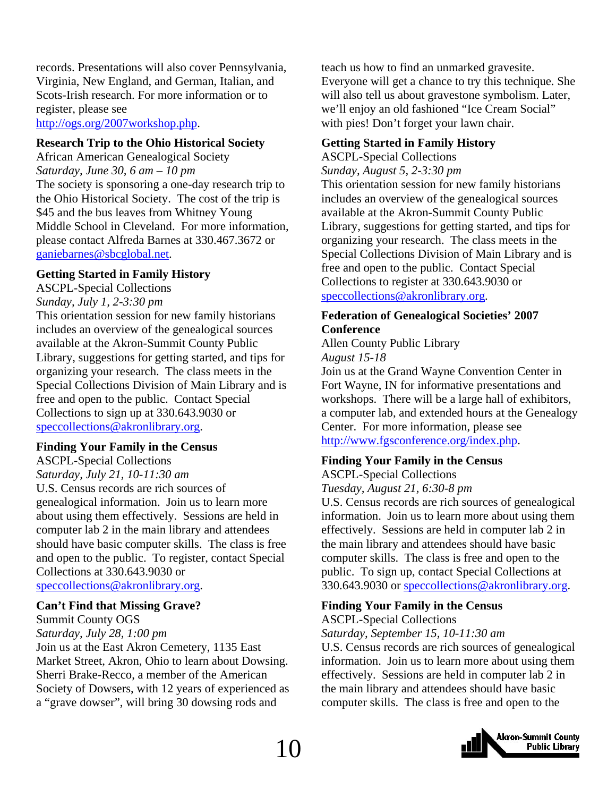records. Presentations will also cover Pennsylvania, Virginia, New England, and German, Italian, and Scots-Irish research. For more information or to register, please see

<http://ogs.org/2007workshop.php>.

#### **Research Trip to the Ohio Historical Society**

African American Genealogical Society *Saturday, June 30, 6 am – 10 pm*  The society is sponsoring a one-day research trip to the Ohio Historical Society. The cost of the trip is \$45 and the bus leaves from Whitney Young Middle School in Cleveland. For more information, please contact Alfreda Barnes at 330.467.3672 or [ganiebarnes@sbcglobal.net](mailto:ganiebarnes@sbcglobal.net).

#### **Getting Started in Family History**

ASCPL-Special Collections *Sunday, July 1, 2-3:30 pm*  This orientation session for new family historians includes an overview of the genealogical sources available at the Akron-Summit County Public Library, suggestions for getting started, and tips for organizing your research. The class meets in the Special Collections Division of Main Library and is free and open to the public. Contact Special Collections to sign up at 330.643.9030 or [speccollections@akronlibrary.org.](mailto:speccollections@akronlibrary.org)

#### **Finding Your Family in the Census**

ASCPL-Special Collections *Saturday, July 21, 10-11:30 am*  U.S. Census records are rich sources of genealogical information. Join us to learn more about using them effectively. Sessions are held in computer lab 2 in the main library and attendees should have basic computer skills. The class is free and open to the public. To register, contact Special Collections at 330.643.9030 or [speccollections@akronlibrary.org.](mailto:speccollections@akronlibrary.org)

#### **Can't Find that Missing Grave?**

Summit County OGS *Saturday, July 28, 1:00 pm* 

Join us at the East Akron Cemetery, 1135 East Market Street, Akron, Ohio to learn about Dowsing. Sherri Brake-Recco, a member of the American Society of Dowsers, with 12 years of experienced as a "grave dowser", will bring 30 dowsing rods and

teach us how to find an unmarked gravesite. Everyone will get a chance to try this technique. She will also tell us about gravestone symbolism. Later, we'll enjoy an old fashioned "Ice Cream Social" with pies! Don't forget your lawn chair.

### **Getting Started in Family History**

ASCPL-Special Collections *Sunday, August 5, 2-3:30 pm*  This orientation session for new family historians includes an overview of the genealogical sources available at the Akron-Summit County Public Library, suggestions for getting started, and tips for organizing your research. The class meets in the Special Collections Division of Main Library and is free and open to the public. Contact Special Collections to register at 330.643.9030 or [speccollections@akronlibrary.org](mailto:speccollections@akronlibrary.org).

#### **Federation of Genealogical Societies' 2007 Conference**

Allen County Public Library *August 15-18* 

Join us at the Grand Wayne Convention Center in Fort Wayne, IN for informative presentations and workshops. There will be a large hall of exhibitors, a computer lab, and extended hours at the Genealogy Center. For more information, please see <http://www.fgsconference.org/index.php>.

#### **Finding Your Family in the Census**

ASCPL-Special Collections *Tuesday, August 21, 6:30-8 pm* 

U.S. Census records are rich sources of genealogical information. Join us to learn more about using them effectively. Sessions are held in computer lab 2 in the main library and attendees should have basic computer skills. The class is free and open to the public. To sign up, contact Special Collections at 330.643.9030 or [speccollections@akronlibrary.org](mailto:speccollections@akronlibrary.org).

### **Finding Your Family in the Census**

ASCPL-Special Collections

*Saturday, September 15, 10-11:30 am* 

U.S. Census records are rich sources of genealogical information. Join us to learn more about using them effectively. Sessions are held in computer lab 2 in the main library and attendees should have basic computer skills. The class is free and open to the

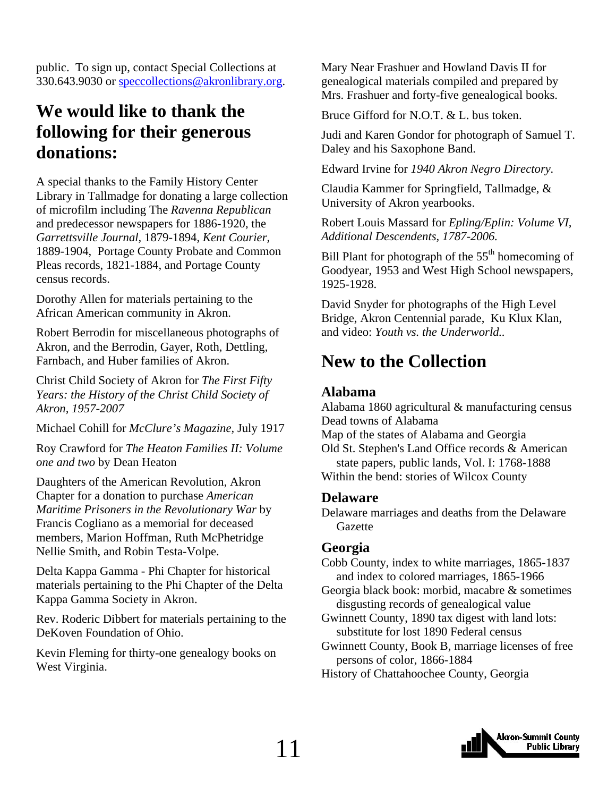<span id="page-10-0"></span>public. To sign up, contact Special Collections at 330.643.9030 or [speccollections@akronlibrary.org.](mailto:speccollections@akronlibrary.org)

# **We would like to thank the following for their generous donations:**

A special thanks to the Family History Center Library in Tallmadge for donating a large collection of microfilm including The *Ravenna Republican* and predecessor newspapers for 1886-1920, the *Garrettsville Journal,* 1879-1894, *Kent Courier,* 1889-1904, Portage County Probate and Common Pleas records, 1821-1884, and Portage County census records.

Dorothy Allen for materials pertaining to the African American community in Akron.

Robert Berrodin for miscellaneous photographs of Akron, and the Berrodin, Gayer, Roth, Dettling, Farnbach, and Huber families of Akron.

Christ Child Society of Akron for *The First Fifty Years: the History of the Christ Child Society of Akron, 1957-2007*

Michael Cohill for *McClure's Magazine,* July 1917

Roy Crawford for *The Heaton Families II: Volume one and two* by Dean Heaton

Daughters of the American Revolution, Akron Chapter for a donation to purchase *American Maritime Prisoners in the Revolutionary War* by Francis Cogliano as a memorial for deceased members, Marion Hoffman, Ruth McPhetridge Nellie Smith, and Robin Testa-Volpe.

Delta Kappa Gamma - Phi Chapter for historical materials pertaining to the Phi Chapter of the Delta Kappa Gamma Society in Akron.

Rev. Roderic Dibbert for materials pertaining to the DeKoven Foundation of Ohio.

Kevin Fleming for thirty-one genealogy books on West Virginia.

Mary Near Frashuer and Howland Davis II for genealogical materials compiled and prepared by Mrs. Frashuer and forty-five genealogical books.

Bruce Gifford for N.O.T. & L. bus token.

Judi and Karen Gondor for photograph of Samuel T. Daley and his Saxophone Band.

Edward Irvine for *1940 Akron Negro Directory.*

Claudia Kammer for Springfield, Tallmadge, & University of Akron yearbooks.

Robert Louis Massard for *Epling/Eplin: Volume VI, Additional Descendents, 1787-2006.*

Bill Plant for photograph of the  $55<sup>th</sup>$  homecoming of Goodyear, 1953 and West High School newspapers, 1925-1928.

David Snyder for photographs of the High Level Bridge, Akron Centennial parade, Ku Klux Klan, and video: *Youth vs. the Underworld..*

# **New to the Collection**

# **Alabama**

Alabama 1860 agricultural & manufacturing census Dead towns of Alabama Map of the states of Alabama and Georgia Old St. Stephen's Land Office records & American state papers, public lands, Vol. I: 1768-1888 Within the bend: stories of Wilcox County

### **Delaware**

Delaware marriages and deaths from the Delaware Gazette

### **Georgia**

Cobb County, index to white marriages, 1865-1837 and index to colored marriages, 1865-1966

Georgia black book: morbid, macabre & sometimes disgusting records of genealogical value

Gwinnett County, 1890 tax digest with land lots: substitute for lost 1890 Federal census

Gwinnett County, Book B, marriage licenses of free persons of color, 1866-1884

History of Chattahoochee County, Georgia

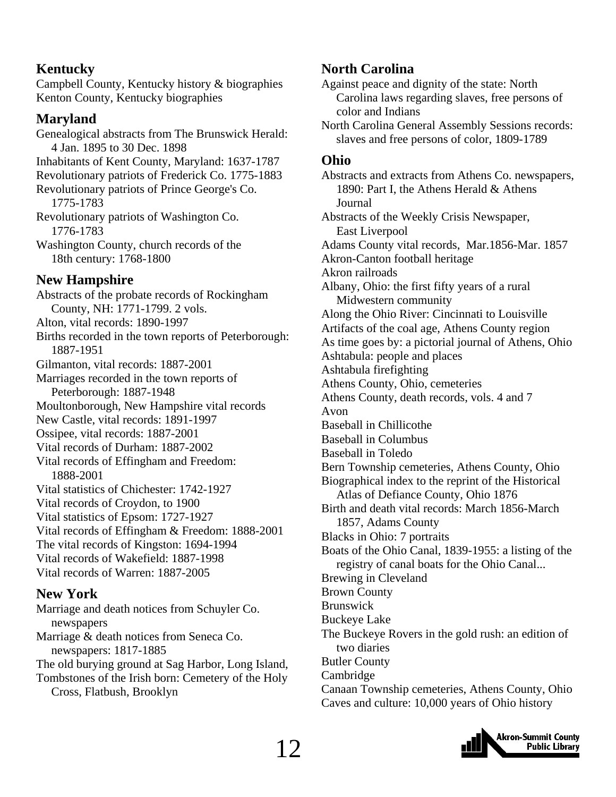## **Kentucky**

Campbell County, Kentucky history & biographies Kenton County, Kentucky biographies

### **Maryland**

Genealogical abstracts from The Brunswick Herald: 4 Jan. 1895 to 30 Dec. 1898 Inhabitants of Kent County, Maryland: 1637-1787 Revolutionary patriots of Frederick Co. 1775-1883 Revolutionary patriots of Prince George's Co. 1775-1783 Revolutionary patriots of Washington Co. 1776-1783 Washington County, church records of the 18th century: 1768-1800 **New Hampshire**  Abstracts of the probate records of Rockingham County, NH: 1771-1799. 2 vols. Alton, vital records: 1890-1997 Births recorded in the town reports of Peterborough: 1887-1951 Gilmanton, vital records: 1887-2001 Marriages recorded in the town reports of Peterborough: 1887-1948 Moultonborough, New Hampshire vital records New Castle, vital records: 1891-1997 Ossipee, vital records: 1887-2001 Vital records of Durham: 1887-2002 Vital records of Effingham and Freedom: 1888-2001 Vital statistics of Chichester: 1742-1927 Vital records of Croydon, to 1900 Vital statistics of Epsom: 1727-1927 Vital records of Effingham & Freedom: 1888-2001 The vital records of Kingston: 1694-1994 Vital records of Wakefield: 1887-1998 Vital records of Warren: 1887-2005 **New York** 

Marriage and death notices from Schuyler Co. newspapers Marriage & death notices from Seneca Co. newspapers: 1817-1885 The old burying ground at Sag Harbor, Long Island, Tombstones of the Irish born: Cemetery of the Holy Cross, Flatbush, Brooklyn

## **North Carolina**

Against peace and dignity of the state: North Carolina laws regarding slaves, free persons of color and Indians

North Carolina General Assembly Sessions records: slaves and free persons of color, 1809-1789

### **Ohio**

Abstracts and extracts from Athens Co. newspapers, 1890: Part I, the Athens Herald & Athens Journal Abstracts of the Weekly Crisis Newspaper, East Liverpool Adams County vital records, Mar.1856-Mar. 1857 Akron-Canton football heritage Akron railroads Albany, Ohio: the first fifty years of a rural Midwestern community Along the Ohio River: Cincinnati to Louisville Artifacts of the coal age, Athens County region As time goes by: a pictorial journal of Athens, Ohio Ashtabula: people and places Ashtabula firefighting Athens County, Ohio, cemeteries Athens County, death records, vols. 4 and 7 Avon Baseball in Chillicothe Baseball in Columbus Baseball in Toledo Bern Township cemeteries, Athens County, Ohio Biographical index to the reprint of the Historical Atlas of Defiance County, Ohio 1876 Birth and death vital records: March 1856-March 1857, Adams County Blacks in Ohio: 7 portraits Boats of the Ohio Canal, 1839-1955: a listing of the registry of canal boats for the Ohio Canal... Brewing in Cleveland Brown County Brunswick Buckeye Lake The Buckeye Rovers in the gold rush: an edition of two diaries Butler County Cambridge Canaan Township cemeteries, Athens County, Ohio Caves and culture: 10,000 years of Ohio history

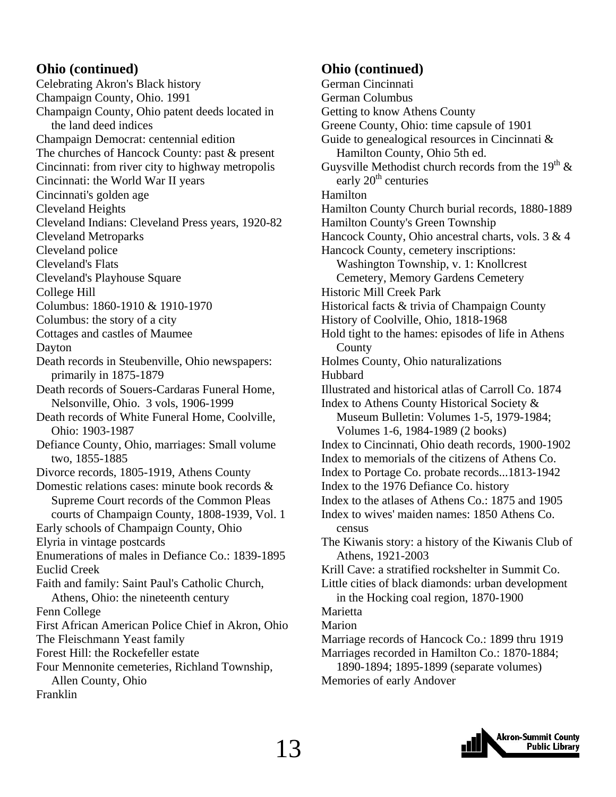### **Ohio (continued)**

Celebrating Akron's Black history Champaign County, Ohio. 1991 Champaign County, Ohio patent deeds located in the land deed indices Champaign Democrat: centennial edition The churches of Hancock County: past & present Cincinnati: from river city to highway metropolis Cincinnati: the World War II years Cincinnati's golden age Cleveland Heights Cleveland Indians: Cleveland Press years, 1920-82 Cleveland Metroparks Cleveland police Cleveland's Flats Cleveland's Playhouse Square College Hill Columbus: 1860-1910 & 1910-1970 Columbus: the story of a city Cottages and castles of Maumee Dayton Death records in Steubenville, Ohio newspapers: primarily in 1875-1879 Death records of Souers-Cardaras Funeral Home, Nelsonville, Ohio. 3 vols, 1906-1999 Death records of White Funeral Home, Coolville, Ohio: 1903-1987 Defiance County, Ohio, marriages: Small volume two, 1855-1885 Divorce records, 1805-1919, Athens County Domestic relations cases: minute book records & Supreme Court records of the Common Pleas courts of Champaign County, 1808-1939, Vol. 1 Early schools of Champaign County, Ohio Elyria in vintage postcards Enumerations of males in Defiance Co.: 1839-1895 Euclid Creek Faith and family: Saint Paul's Catholic Church, Athens, Ohio: the nineteenth century Fenn College First African American Police Chief in Akron, Ohio The Fleischmann Yeast family Forest Hill: the Rockefeller estate Four Mennonite cemeteries, Richland Township, Allen County, Ohio Franklin

### **Ohio (continued)**

German Cincinnati German Columbus Getting to know Athens County Greene County, Ohio: time capsule of 1901 Guide to genealogical resources in Cincinnati & Hamilton County, Ohio 5th ed. Guysville Methodist church records from the 19<sup>th</sup>  $\&$ early  $20<sup>th</sup>$  centuries Hamilton Hamilton County Church burial records, 1880-1889 Hamilton County's Green Township Hancock County, Ohio ancestral charts, vols. 3 & 4 Hancock County, cemetery inscriptions: Washington Township, v. 1: Knollcrest Cemetery, Memory Gardens Cemetery Historic Mill Creek Park Historical facts & trivia of Champaign County History of Coolville, Ohio, 1818-1968 Hold tight to the hames: episodes of life in Athens **County** Holmes County, Ohio naturalizations **Hubbard** Illustrated and historical atlas of Carroll Co. 1874 Index to Athens County Historical Society & Museum Bulletin: Volumes 1-5, 1979-1984; Volumes 1-6, 1984-1989 (2 books) Index to Cincinnati, Ohio death records, 1900-1902 Index to memorials of the citizens of Athens Co. Index to Portage Co. probate records...1813-1942 Index to the 1976 Defiance Co. history Index to the atlases of Athens Co.: 1875 and 1905 Index to wives' maiden names: 1850 Athens Co. census The Kiwanis story: a history of the Kiwanis Club of Athens, 1921-2003 Krill Cave: a stratified rockshelter in Summit Co. Little cities of black diamonds: urban development in the Hocking coal region, 1870-1900 Marietta Marion Marriage records of Hancock Co.: 1899 thru 1919 Marriages recorded in Hamilton Co.: 1870-1884; 1890-1894; 1895-1899 (separate volumes) Memories of early Andover

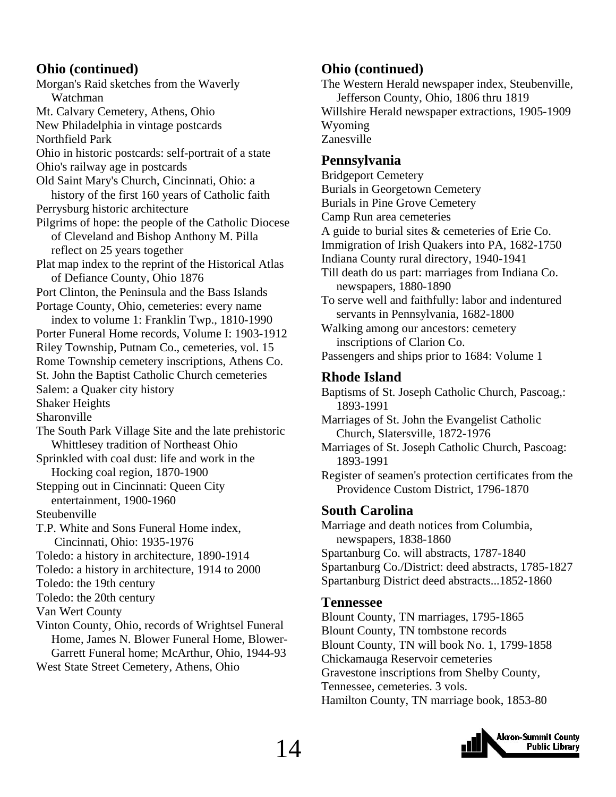### **Ohio (continued)**

Morgan's Raid sketches from the Waverly Watchman Mt. Calvary Cemetery, Athens, Ohio New Philadelphia in vintage postcards Northfield Park Ohio in historic postcards: self-portrait of a state Ohio's railway age in postcards Old Saint Mary's Church, Cincinnati, Ohio: a history of the first 160 years of Catholic faith Perrysburg historic architecture Pilgrims of hope: the people of the Catholic Diocese of Cleveland and Bishop Anthony M. Pilla reflect on 25 years together Plat map index to the reprint of the Historical Atlas of Defiance County, Ohio 1876 Port Clinton, the Peninsula and the Bass Islands Portage County, Ohio, cemeteries: every name index to volume 1: Franklin Twp., 1810-1990 Porter Funeral Home records, Volume I: 1903-1912 Riley Township, Putnam Co., cemeteries, vol. 15 Rome Township cemetery inscriptions, Athens Co. St. John the Baptist Catholic Church cemeteries Salem: a Quaker city history Shaker Heights Sharonville The South Park Village Site and the late prehistoric Whittlesey tradition of Northeast Ohio Sprinkled with coal dust: life and work in the Hocking coal region, 1870-1900 Stepping out in Cincinnati: Queen City entertainment, 1900-1960 Steubenville T.P. White and Sons Funeral Home index, Cincinnati, Ohio: 1935-1976 Toledo: a history in architecture, 1890-1914 Toledo: a history in architecture, 1914 to 2000 Toledo: the 19th century Toledo: the 20th century Van Wert County Vinton County, Ohio, records of Wrightsel Funeral Home, James N. Blower Funeral Home, Blower- Garrett Funeral home; McArthur, Ohio, 1944-93 West State Street Cemetery, Athens, Ohio

### **Ohio (continued)**

The Western Herald newspaper index, Steubenville, Jefferson County, Ohio, 1806 thru 1819 Willshire Herald newspaper extractions, 1905-1909 Wyoming Zanesville

### **Pennsylvania**

Bridgeport Cemetery Burials in Georgetown Cemetery Burials in Pine Grove Cemetery Camp Run area cemeteries A guide to burial sites & cemeteries of Erie Co. Immigration of Irish Quakers into PA, 1682-1750 Indiana County rural directory, 1940-1941 Till death do us part: marriages from Indiana Co. newspapers, 1880-1890 To serve well and faithfully: labor and indentured servants in Pennsylvania, 1682-1800 Walking among our ancestors: cemetery inscriptions of Clarion Co. Passengers and ships prior to 1684: Volume 1 **Rhode Island**

Baptisms of St. Joseph Catholic Church, Pascoag,: 1893-1991

Marriages of St. John the Evangelist Catholic Church, Slatersville, 1872-1976

Marriages of St. Joseph Catholic Church, Pascoag: 1893-1991

Register of seamen's protection certificates from the Providence Custom District, 1796-1870

### **South Carolina**

Marriage and death notices from Columbia, newspapers, 1838-1860 Spartanburg Co. will abstracts, 1787-1840 Spartanburg Co./District: deed abstracts, 1785-1827 Spartanburg District deed abstracts...1852-1860

### **Tennessee**

Blount County, TN marriages, 1795-1865 Blount County, TN tombstone records Blount County, TN will book No. 1, 1799-1858 Chickamauga Reservoir cemeteries Gravestone inscriptions from Shelby County, Tennessee, cemeteries. 3 vols. Hamilton County, TN marriage book, 1853-80

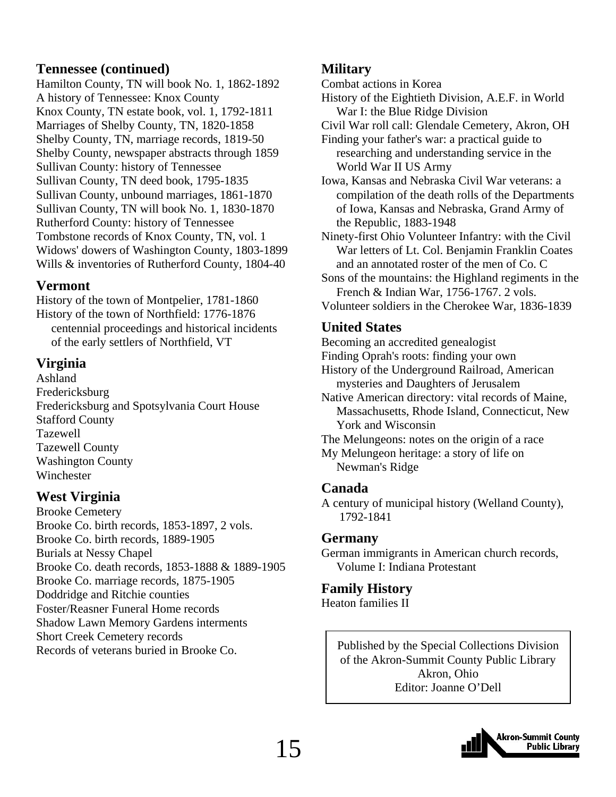### **Tennessee (continued)**

Hamilton County, TN will book No. 1, 1862-1892 A history of Tennessee: Knox County Knox County, TN estate book, vol. 1, 1792-1811 Marriages of Shelby County, TN, 1820-1858 Shelby County, TN, marriage records, 1819-50 Shelby County, newspaper abstracts through 1859 Sullivan County: history of Tennessee Sullivan County, TN deed book, 1795-1835 Sullivan County, unbound marriages, 1861-1870 Sullivan County, TN will book No. 1, 1830-1870 Rutherford County: history of Tennessee Tombstone records of Knox County, TN, vol. 1 Widows' dowers of Washington County, 1803-1899 Wills & inventories of Rutherford County, 1804-40

### **Vermont**

History of the town of Montpelier, 1781-1860 History of the town of Northfield: 1776-1876 centennial proceedings and historical incidents of the early settlers of Northfield, VT

### **Virginia**

Ashland Fredericksburg Fredericksburg and Spotsylvania Court House Stafford County Tazewell Tazewell County Washington County Winchester

# **West Virginia**

Brooke Cemetery Brooke Co. birth records, 1853-1897, 2 vols. Brooke Co. birth records, 1889-1905 Burials at Nessy Chapel Brooke Co. death records, 1853-1888 & 1889-1905 Brooke Co. marriage records, 1875-1905 Doddridge and Ritchie counties Foster/Reasner Funeral Home records Shadow Lawn Memory Gardens interments Short Creek Cemetery records Records of veterans buried in Brooke Co.

# **Military**

Combat actions in Korea

History of the Eightieth Division, A.E.F. in World War I: the Blue Ridge Division

Civil War roll call: Glendale Cemetery, Akron, OH

Finding your father's war: a practical guide to researching and understanding service in the World War II US Army

Iowa, Kansas and Nebraska Civil War veterans: a compilation of the death rolls of the Departments of Iowa, Kansas and Nebraska, Grand Army of the Republic, 1883-1948

Ninety-first Ohio Volunteer Infantry: with the Civil War letters of Lt. Col. Benjamin Franklin Coates and an annotated roster of the men of Co. C

Sons of the mountains: the Highland regiments in the French & Indian War, 1756-1767. 2 vols.

Volunteer soldiers in the Cherokee War, 1836-1839

# **United States**

- Becoming an accredited genealogist
- Finding Oprah's roots: finding your own

History of the Underground Railroad, American mysteries and Daughters of Jerusalem

Native American directory: vital records of Maine, Massachusetts, Rhode Island, Connecticut, New York and Wisconsin

The Melungeons: notes on the origin of a race

My Melungeon heritage: a story of life on Newman's Ridge

### **Canada**

A century of municipal history (Welland County), 1792-1841

### **Germany**

German immigrants in American church records, Volume I: Indiana Protestant

### **Family History**

Heaton families II

Published by the Special Collections Division of the Akron-Summit County Public Library Akron, Ohio Editor: Joanne O'Dell